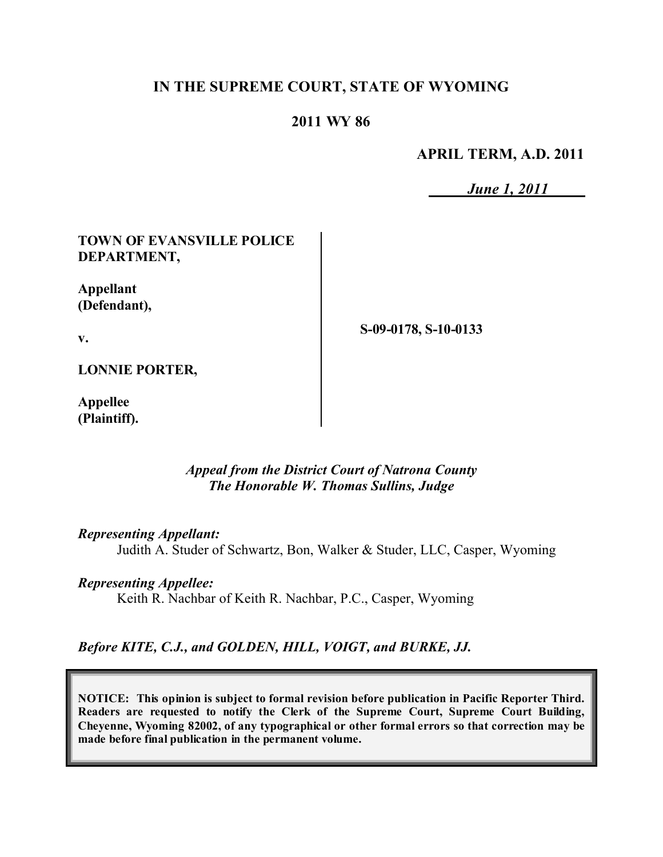# **IN THE SUPREME COURT, STATE OF WYOMING**

# **2011 WY 86**

**APRIL TERM, A.D. 2011**

*June 1, 2011*

# **TOWN OF EVANSVILLE POLICE DEPARTMENT,**

**Appellant (Defendant),**

**v.**

**S-09-0178, S-10-0133**

**LONNIE PORTER,**

**Appellee (Plaintiff).**

### *Appeal from the District Court of Natrona County The Honorable W. Thomas Sullins, Judge*

#### *Representing Appellant:*

Judith A. Studer of Schwartz, Bon, Walker & Studer, LLC, Casper, Wyoming

#### *Representing Appellee:*

Keith R. Nachbar of Keith R. Nachbar, P.C., Casper, Wyoming

# *Before KITE, C.J., and GOLDEN, HILL, VOIGT, and BURKE, JJ.*

**NOTICE: This opinion is subject to formal revision before publication in Pacific Reporter Third. Readers are requested to notify the Clerk of the Supreme Court, Supreme Court Building, Cheyenne, Wyoming 82002, of any typographical or other formal errors so that correction may be made before final publication in the permanent volume.**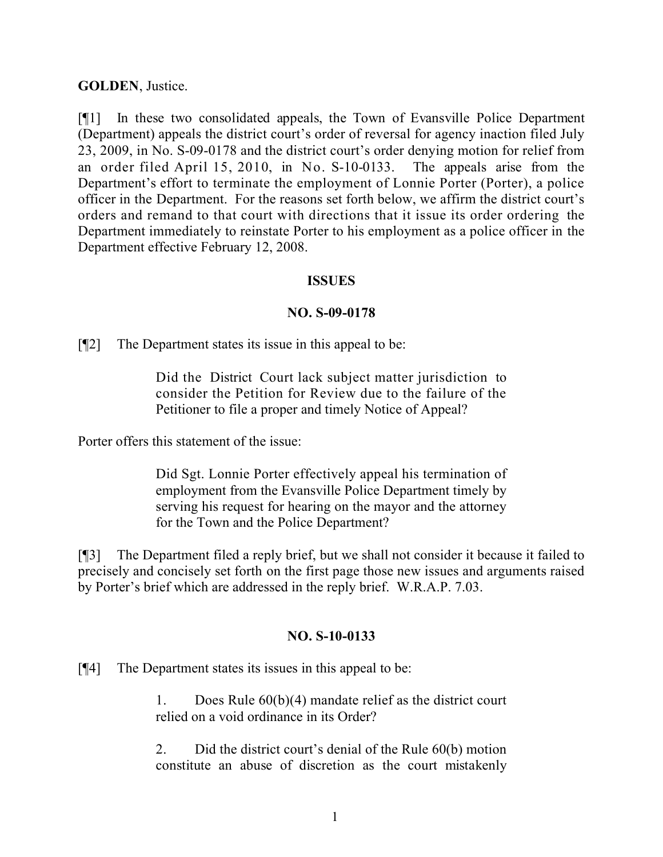## **GOLDEN**, Justice.

[¶1] In these two consolidated appeals, the Town of Evansville Police Department (Department) appeals the district court's order of reversal for agency inaction filed July 23, 2009, in No. S-09-0178 and the district court's order denying motion for relief from an order filed April 15, 2010, in No. S-10-0133. The appeals arise from the Department's effort to terminate the employment of Lonnie Porter (Porter), a police officer in the Department. For the reasons set forth below, we affirm the district court's orders and remand to that court with directions that it issue its order ordering the Department immediately to reinstate Porter to his employment as a police officer in the Department effective February 12, 2008.

### **ISSUES**

## **NO. S-09-0178**

[¶2] The Department states its issue in this appeal to be:

Did the District Court lack subject matter jurisdiction to consider the Petition for Review due to the failure of the Petitioner to file a proper and timely Notice of Appeal?

Porter offers this statement of the issue:

Did Sgt. Lonnie Porter effectively appeal his termination of employment from the Evansville Police Department timely by serving his request for hearing on the mayor and the attorney for the Town and the Police Department?

[¶3] The Department filed a reply brief, but we shall not consider it because it failed to precisely and concisely set forth on the first page those new issues and arguments raised by Porter's brief which are addressed in the reply brief. W.R.A.P. 7.03.

# **NO. S-10-0133**

[¶4] The Department states its issues in this appeal to be:

1. Does Rule 60(b)(4) mandate relief as the district court relied on a void ordinance in its Order?

2. Did the district court's denial of the Rule 60(b) motion constitute an abuse of discretion as the court mistakenly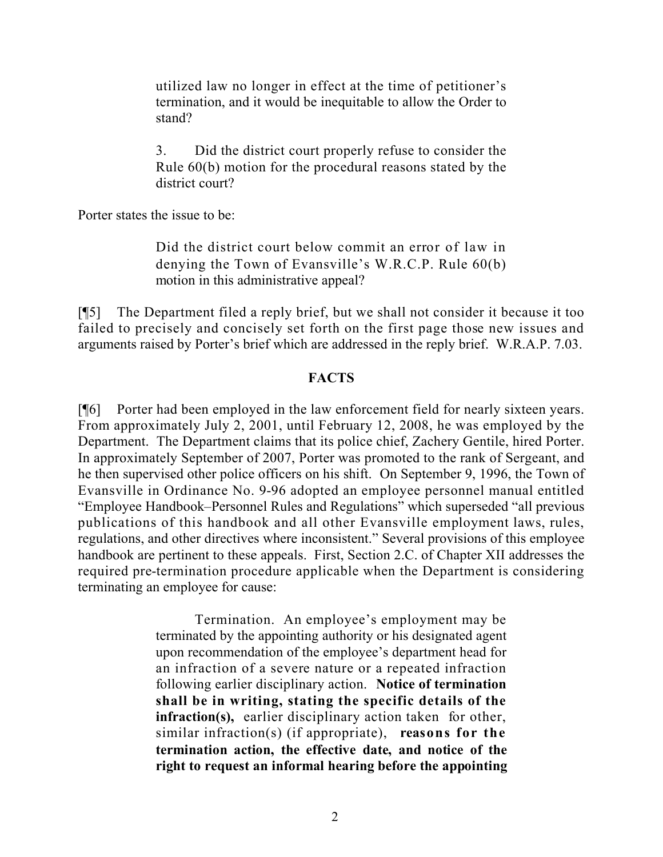utilized law no longer in effect at the time of petitioner's termination, and it would be inequitable to allow the Order to stand?

3. Did the district court properly refuse to consider the Rule 60(b) motion for the procedural reasons stated by the district court?

Porter states the issue to be:

Did the district court below commit an error of law in denying the Town of Evansville's W.R.C.P. Rule 60(b) motion in this administrative appeal?

[¶5] The Department filed a reply brief, but we shall not consider it because it too failed to precisely and concisely set forth on the first page those new issues and arguments raised by Porter's brief which are addressed in the reply brief. W.R.A.P. 7.03.

## **FACTS**

[¶6] Porter had been employed in the law enforcement field for nearly sixteen years. From approximately July 2, 2001, until February 12, 2008, he was employed by the Department. The Department claims that its police chief, Zachery Gentile, hired Porter. In approximately September of 2007, Porter was promoted to the rank of Sergeant, and he then supervised other police officers on his shift. On September 9, 1996, the Town of Evansville in Ordinance No. 9-96 adopted an employee personnel manual entitled "Employee Handbook–Personnel Rules and Regulations" which superseded "all previous publications of this handbook and all other Evansville employment laws, rules, regulations, and other directives where inconsistent." Several provisions of this employee handbook are pertinent to these appeals. First, Section 2.C. of Chapter XII addresses the required pre-termination procedure applicable when the Department is considering terminating an employee for cause:

> Termination. An employee's employment may be terminated by the appointing authority or his designated agent upon recommendation of the employee's department head for an infraction of a severe nature or a repeated infraction following earlier disciplinary action. **Notice of termination shall be in writing, stating the specific details of the infraction(s),** earlier disciplinary action taken for other, similar infraction(s) (if appropriate), **reasons for the termination action, the effective date, and notice of the right to request an informal hearing before the appointing**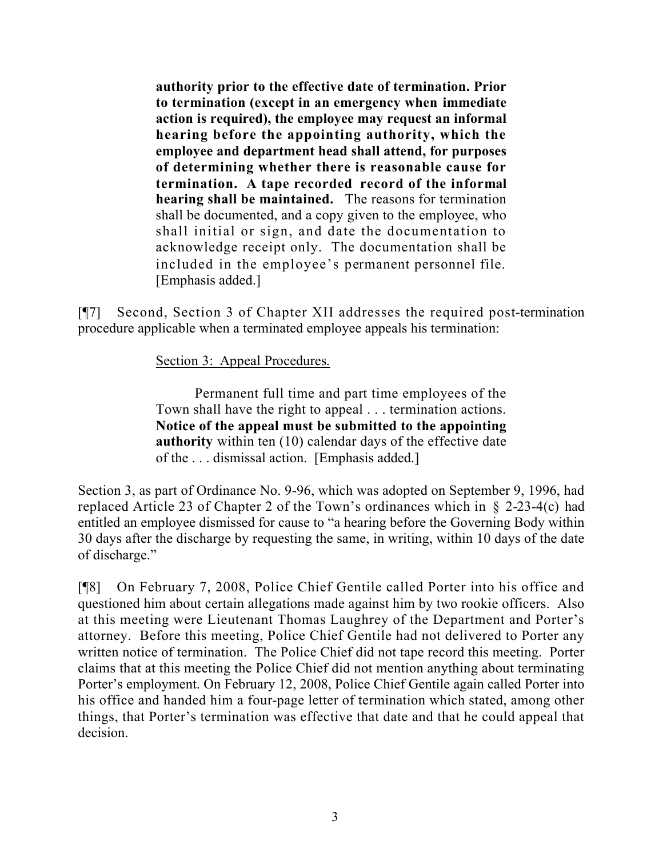**authority prior to the effective date of termination. Prior to termination (except in an emergency when immediate action is required), the employee may request an informal hearing before the appointing authority, which the employee and department head shall attend, for purposes of determining whether there is reasonable cause for termination. A tape recorded record of the informal hearing shall be maintained.** The reasons for termination shall be documented, and a copy given to the employee, who shall initial or sign, and date the documentation to acknowledge receipt only. The documentation shall be included in the employee's permanent personnel file. [Emphasis added.]

[¶7] Second, Section 3 of Chapter XII addresses the required post-termination procedure applicable when a terminated employee appeals his termination:

Section 3: Appeal Procedures.

Permanent full time and part time employees of the Town shall have the right to appeal . . . termination actions. **Notice of the appeal must be submitted to the appointing authority** within ten (10) calendar days of the effective date of the . . . dismissal action. [Emphasis added.]

Section 3, as part of Ordinance No. 9-96, which was adopted on September 9, 1996, had replaced Article 23 of Chapter 2 of the Town's ordinances which in § 2-23-4(c) had entitled an employee dismissed for cause to "a hearing before the Governing Body within 30 days after the discharge by requesting the same, in writing, within 10 days of the date of discharge."

[¶8] On February 7, 2008, Police Chief Gentile called Porter into his office and questioned him about certain allegations made against him by two rookie officers. Also at this meeting were Lieutenant Thomas Laughrey of the Department and Porter's attorney. Before this meeting, Police Chief Gentile had not delivered to Porter any written notice of termination. The Police Chief did not tape record this meeting. Porter claims that at this meeting the Police Chief did not mention anything about terminating Porter's employment. On February 12, 2008, Police Chief Gentile again called Porter into his office and handed him a four-page letter of termination which stated, among other things, that Porter's termination was effective that date and that he could appeal that decision.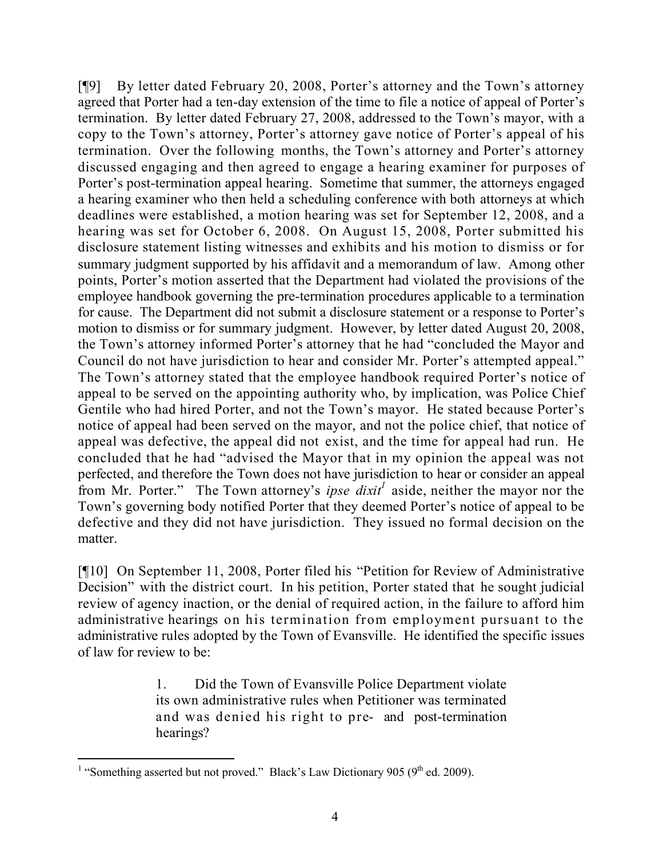[¶9] By letter dated February 20, 2008, Porter's attorney and the Town's attorney agreed that Porter had a ten-day extension of the time to file a notice of appeal of Porter's termination. By letter dated February 27, 2008, addressed to the Town's mayor, with a copy to the Town's attorney, Porter's attorney gave notice of Porter's appeal of his termination. Over the following months, the Town's attorney and Porter's attorney discussed engaging and then agreed to engage a hearing examiner for purposes of Porter's post-termination appeal hearing. Sometime that summer, the attorneys engaged a hearing examiner who then held a scheduling conference with both attorneys at which deadlines were established, a motion hearing was set for September 12, 2008, and a hearing was set for October 6, 2008. On August 15, 2008, Porter submitted his disclosure statement listing witnesses and exhibits and his motion to dismiss or for summary judgment supported by his affidavit and a memorandum of law. Among other points, Porter's motion asserted that the Department had violated the provisions of the employee handbook governing the pre-termination procedures applicable to a termination for cause. The Department did not submit a disclosure statement or a response to Porter's motion to dismiss or for summary judgment. However, by letter dated August 20, 2008, the Town's attorney informed Porter's attorney that he had "concluded the Mayor and Council do not have jurisdiction to hear and consider Mr. Porter's attempted appeal." The Town's attorney stated that the employee handbook required Porter's notice of appeal to be served on the appointing authority who, by implication, was Police Chief Gentile who had hired Porter, and not the Town's mayor. He stated because Porter's notice of appeal had been served on the mayor, and not the police chief, that notice of appeal was defective, the appeal did not exist, and the time for appeal had run. He concluded that he had "advised the Mayor that in my opinion the appeal was not perfected, and therefore the Town does not have jurisdiction to hear or consider an appeal from Mr. Porter." The Town attorney's *ipse dixit*<sup>1</sup> aside, neither the mayor nor the Town's governing body notified Porter that they deemed Porter's notice of appeal to be defective and they did not have jurisdiction. They issued no formal decision on the matter.

[¶10] On September 11, 2008, Porter filed his "Petition for Review of Administrative Decision" with the district court. In his petition, Porter stated that he sought judicial review of agency inaction, or the denial of required action, in the failure to afford him administrative hearings on his termination from employment pursuant to the administrative rules adopted by the Town of Evansville. He identified the specific issues of law for review to be:

> 1. Did the Town of Evansville Police Department violate its own administrative rules when Petitioner was terminated and was denied his right to pre- and post-termination hearings?

<sup>&</sup>lt;sup>1</sup> "Something asserted but not proved." Black's Law Dictionary 905 (9<sup>th</sup> ed. 2009).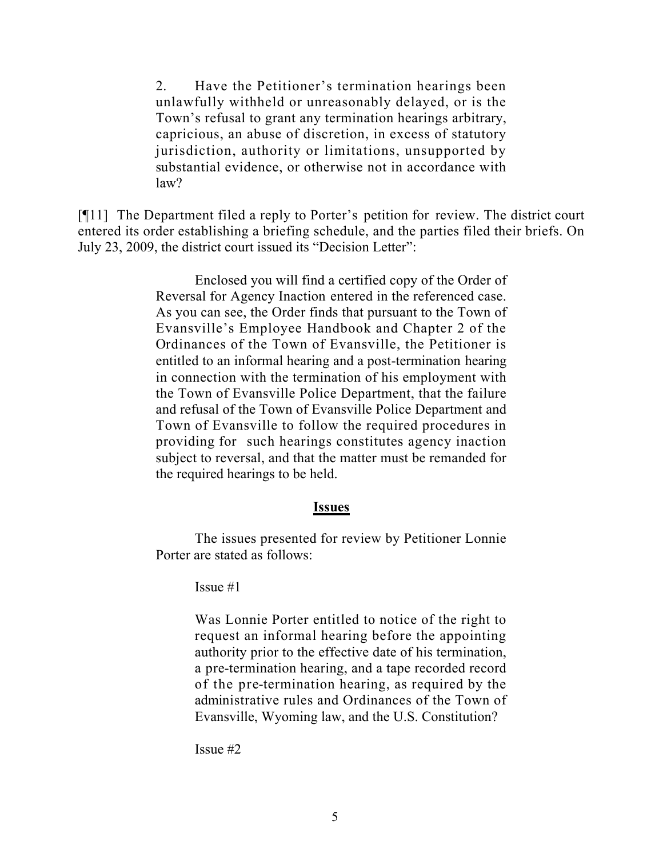2. Have the Petitioner's termination hearings been unlawfully withheld or unreasonably delayed, or is the Town's refusal to grant any termination hearings arbitrary, capricious, an abuse of discretion, in excess of statutory jurisdiction, authority or limitations, unsupported by substantial evidence, or otherwise not in accordance with law?

[¶11] The Department filed a reply to Porter's petition for review. The district court entered its order establishing a briefing schedule, and the parties filed their briefs. On July 23, 2009, the district court issued its "Decision Letter":

> Enclosed you will find a certified copy of the Order of Reversal for Agency Inaction entered in the referenced case. As you can see, the Order finds that pursuant to the Town of Evansville's Employee Handbook and Chapter 2 of the Ordinances of the Town of Evansville, the Petitioner is entitled to an informal hearing and a post-termination hearing in connection with the termination of his employment with the Town of Evansville Police Department, that the failure and refusal of the Town of Evansville Police Department and Town of Evansville to follow the required procedures in providing for such hearings constitutes agency inaction subject to reversal, and that the matter must be remanded for the required hearings to be held.

#### **Issues**

The issues presented for review by Petitioner Lonnie Porter are stated as follows:

Issue #1

Was Lonnie Porter entitled to notice of the right to request an informal hearing before the appointing authority prior to the effective date of his termination, a pre-termination hearing, and a tape recorded record of the pre-termination hearing, as required by the administrative rules and Ordinances of the Town of Evansville, Wyoming law, and the U.S. Constitution?

Issue #2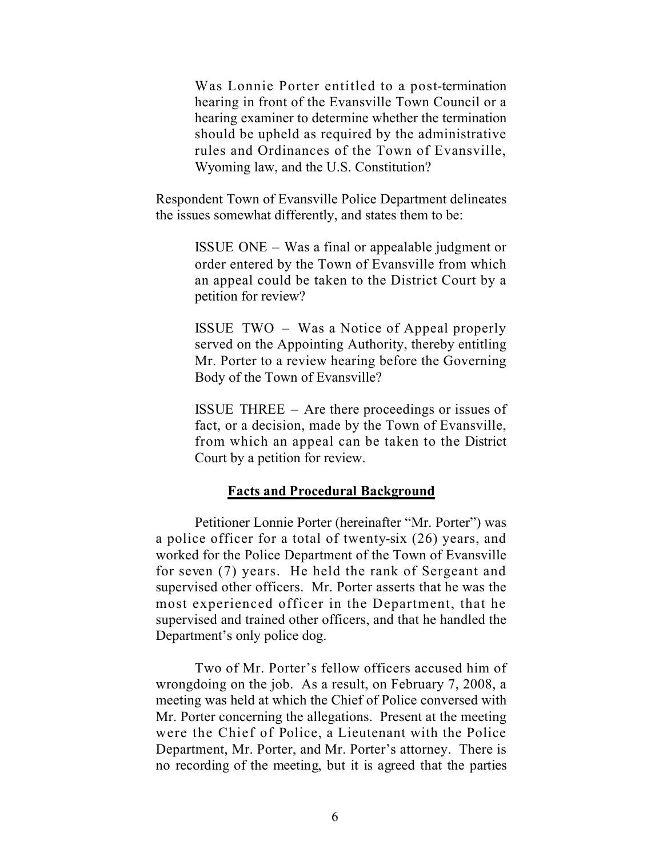Was Lonnie Porter entitled to a post-termination hearing in front of the Evansville Town Council or a hearing examiner to determine whether the termination should be upheld as required by the administrative rules and Ordinances of the Town of Evansville, Wyoming law, and the U.S. Constitution?

Respondent Town of Evansville Police Department delineates the issues somewhat differently, and states them to be:

> ISSUE ONE – Was a final or appealable judgment or order entered by the Town of Evansville from which an appeal could be taken to the District Court by a petition for review?

> ISSUE TWO – Was a Notice of Appeal properly served on the Appointing Authority, thereby entitling Mr. Porter to a review hearing before the Governing Body of the Town of Evansville?

> ISSUE THREE – Are there proceedings or issues of fact, or a decision, made by the Town of Evansville, from which an appeal can be taken to the District Court by a petition for review.

#### **Facts and Procedural Background**

Petitioner Lonnie Porter (hereinafter "Mr. Porter") was a police officer for a total of twenty-six (26) years, and worked for the Police Department of the Town of Evansville for seven (7) years. He held the rank of Sergeant and supervised other officers. Mr. Porter asserts that he was the most experienced officer in the Department, that he supervised and trained other officers, and that he handled the Department's only police dog.

Two of Mr. Porter's fellow officers accused him of wrongdoing on the job. As a result, on February 7, 2008, a meeting was held at which the Chief of Police conversed with Mr. Porter concerning the allegations. Present at the meeting were the Chief of Police, a Lieutenant with the Police Department, Mr. Porter, and Mr. Porter's attorney. There is no recording of the meeting, but it is agreed that the parties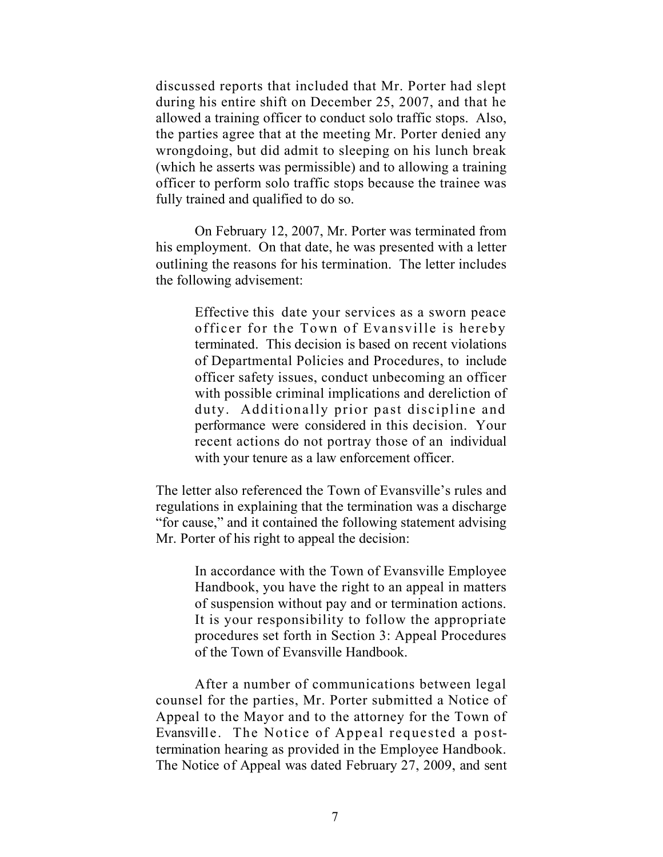discussed reports that included that Mr. Porter had slept during his entire shift on December 25, 2007, and that he allowed a training officer to conduct solo traffic stops. Also, the parties agree that at the meeting Mr. Porter denied any wrongdoing, but did admit to sleeping on his lunch break (which he asserts was permissible) and to allowing a training officer to perform solo traffic stops because the trainee was fully trained and qualified to do so.

On February 12, 2007, Mr. Porter was terminated from his employment. On that date, he was presented with a letter outlining the reasons for his termination. The letter includes the following advisement:

> Effective this date your services as a sworn peace officer for the Town of Evansville is hereby terminated. This decision is based on recent violations of Departmental Policies and Procedures, to include officer safety issues, conduct unbecoming an officer with possible criminal implications and dereliction of duty. Additionally prior past discipline and performance were considered in this decision. Your recent actions do not portray those of an individual with your tenure as a law enforcement officer.

The letter also referenced the Town of Evansville's rules and regulations in explaining that the termination was a discharge "for cause," and it contained the following statement advising Mr. Porter of his right to appeal the decision:

> In accordance with the Town of Evansville Employee Handbook, you have the right to an appeal in matters of suspension without pay and or termination actions. It is your responsibility to follow the appropriate procedures set forth in Section 3: Appeal Procedures of the Town of Evansville Handbook.

After a number of communications between legal counsel for the parties, Mr. Porter submitted a Notice of Appeal to the Mayor and to the attorney for the Town of Evansville. The Notice of Appeal requested a posttermination hearing as provided in the Employee Handbook. The Notice of Appeal was dated February 27, 2009, and sent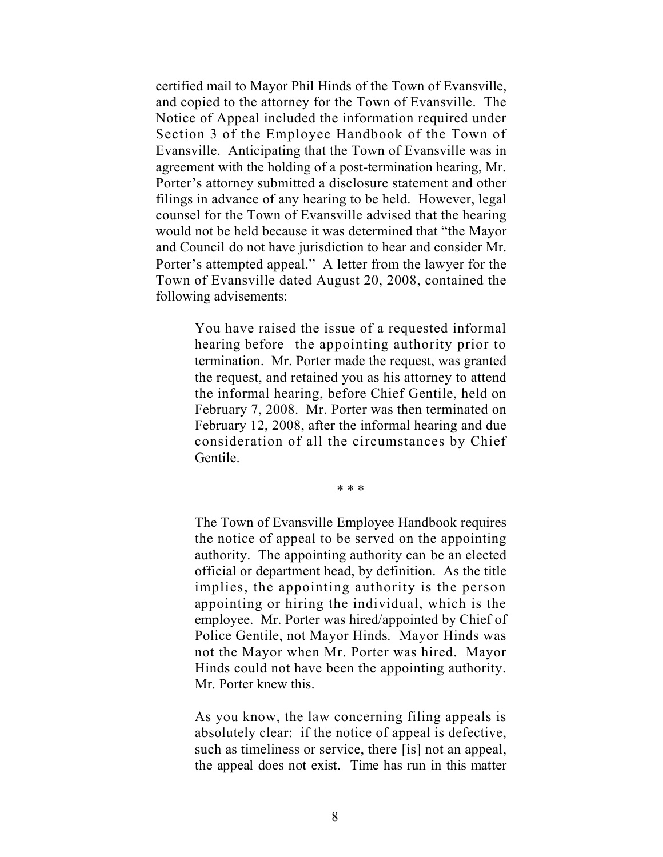certified mail to Mayor Phil Hinds of the Town of Evansville, and copied to the attorney for the Town of Evansville. The Notice of Appeal included the information required under Section 3 of the Employee Handbook of the Town of Evansville. Anticipating that the Town of Evansville was in agreement with the holding of a post-termination hearing, Mr. Porter's attorney submitted a disclosure statement and other filings in advance of any hearing to be held. However, legal counsel for the Town of Evansville advised that the hearing would not be held because it was determined that "the Mayor and Council do not have jurisdiction to hear and consider Mr. Porter's attempted appeal." A letter from the lawyer for the Town of Evansville dated August 20, 2008, contained the following advisements:

> You have raised the issue of a requested informal hearing before the appointing authority prior to termination. Mr. Porter made the request, was granted the request, and retained you as his attorney to attend the informal hearing, before Chief Gentile, held on February 7, 2008. Mr. Porter was then terminated on February 12, 2008, after the informal hearing and due consideration of all the circumstances by Chief Gentile.

> > \* \* \*

The Town of Evansville Employee Handbook requires the notice of appeal to be served on the appointing authority. The appointing authority can be an elected official or department head, by definition. As the title implies, the appointing authority is the person appointing or hiring the individual, which is the employee. Mr. Porter was hired/appointed by Chief of Police Gentile, not Mayor Hinds. Mayor Hinds was not the Mayor when Mr. Porter was hired. Mayor Hinds could not have been the appointing authority. Mr. Porter knew this.

As you know, the law concerning filing appeals is absolutely clear: if the notice of appeal is defective, such as timeliness or service, there [is] not an appeal, the appeal does not exist. Time has run in this matter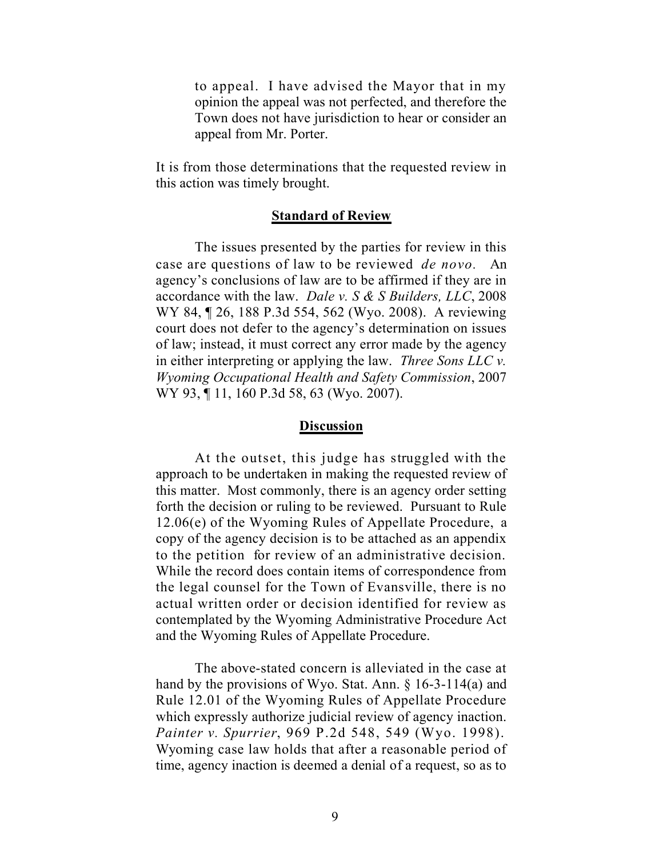to appeal. I have advised the Mayor that in my opinion the appeal was not perfected, and therefore the Town does not have jurisdiction to hear or consider an appeal from Mr. Porter.

It is from those determinations that the requested review in this action was timely brought.

#### **Standard of Review**

The issues presented by the parties for review in this case are questions of law to be reviewed *de novo.* An agency's conclusions of law are to be affirmed if they are in accordance with the law. *Dale v. S & S Builders, LLC*, 2008 WY 84, ¶ 26, 188 P.3d 554, 562 (Wyo. 2008). A reviewing court does not defer to the agency's determination on issues of law; instead, it must correct any error made by the agency in either interpreting or applying the law. *Three Sons LLC v. Wyoming Occupational Health and Safety Commission*, 2007 WY 93, ¶ 11, 160 P.3d 58, 63 (Wyo. 2007).

#### **Discussion**

At the outset, this judge has struggled with the approach to be undertaken in making the requested review of this matter. Most commonly, there is an agency order setting forth the decision or ruling to be reviewed. Pursuant to Rule 12.06(e) of the Wyoming Rules of Appellate Procedure, a copy of the agency decision is to be attached as an appendix to the petition for review of an administrative decision. While the record does contain items of correspondence from the legal counsel for the Town of Evansville, there is no actual written order or decision identified for review as contemplated by the Wyoming Administrative Procedure Act and the Wyoming Rules of Appellate Procedure.

The above-stated concern is alleviated in the case at hand by the provisions of Wyo. Stat. Ann. § 16-3-114(a) and Rule 12.01 of the Wyoming Rules of Appellate Procedure which expressly authorize judicial review of agency inaction. *Painter v. Spurrier*, 969 P.2d 548, 549 (Wyo. 1998). Wyoming case law holds that after a reasonable period of time, agency inaction is deemed a denial of a request, so as to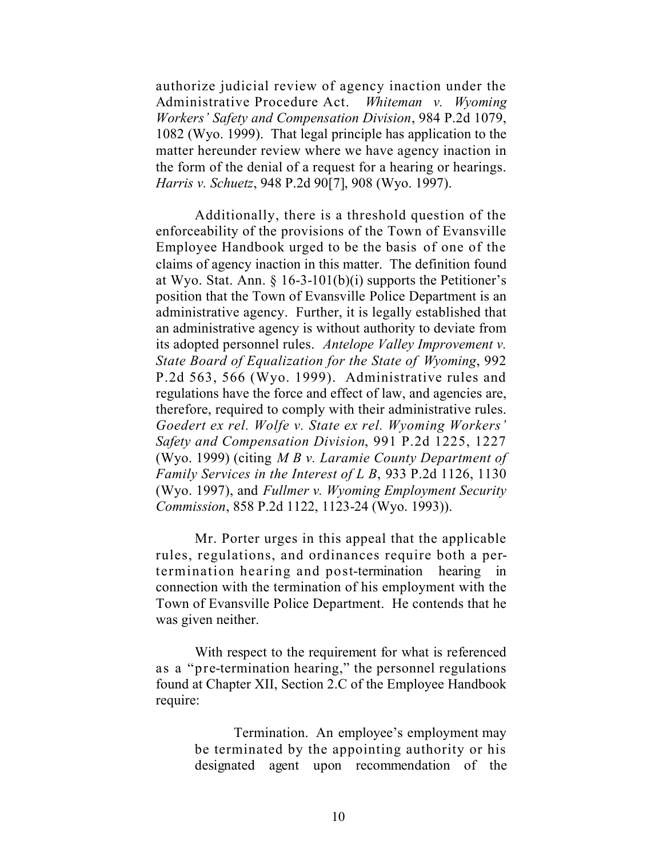authorize judicial review of agency inaction under the Administrative Procedure Act. *Whiteman v. Wyoming Workers' Safety and Compensation Division*, 984 P.2d 1079, 1082 (Wyo. 1999). That legal principle has application to the matter hereunder review where we have agency inaction in the form of the denial of a request for a hearing or hearings. *Harris v. Schuetz*, 948 P.2d 90[7], 908 (Wyo. 1997).

Additionally, there is a threshold question of the enforceability of the provisions of the Town of Evansville Employee Handbook urged to be the basis of one of the claims of agency inaction in this matter. The definition found at Wyo. Stat. Ann. § 16-3-101(b)(i) supports the Petitioner's position that the Town of Evansville Police Department is an administrative agency. Further, it is legally established that an administrative agency is without authority to deviate from its adopted personnel rules. *Antelope Valley Improvement v. State Board of Equalization for the State of Wyoming*, 992 P.2d 563, 566 (Wyo. 1999). Administrative rules and regulations have the force and effect of law, and agencies are, therefore, required to comply with their administrative rules. *Goedert ex rel. Wolfe v. State ex rel. Wyoming Workers' Safety and Compensation Division*, 991 P.2d 1225, 1227 (Wyo. 1999) (citing *M B v. Laramie County Department of Family Services in the Interest of L B*, 933 P.2d 1126, 1130 (Wyo. 1997), and *Fullmer v. Wyoming Employment Security Commission*, 858 P.2d 1122, 1123-24 (Wyo. 1993)).

Mr. Porter urges in this appeal that the applicable rules, regulations, and ordinances require both a pertermination hearing and post-termination hearing in connection with the termination of his employment with the Town of Evansville Police Department. He contends that he was given neither.

With respect to the requirement for what is referenced as a "pre-termination hearing," the personnel regulations found at Chapter XII, Section 2.C of the Employee Handbook require:

> Termination. An employee's employment may be terminated by the appointing authority or his designated agent upon recommendation of the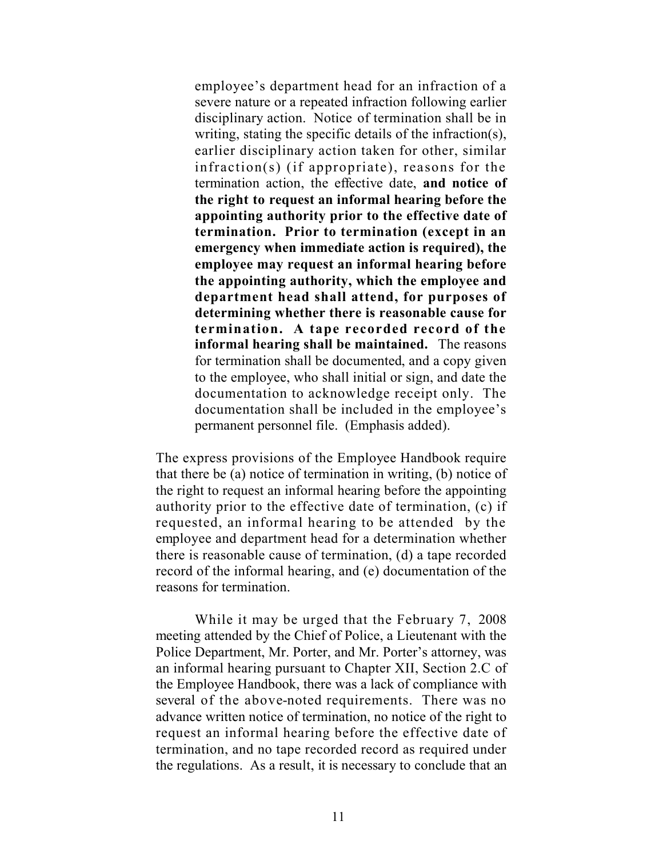employee's department head for an infraction of a severe nature or a repeated infraction following earlier disciplinary action. Notice of termination shall be in writing, stating the specific details of the infraction(s), earlier disciplinary action taken for other, similar infraction(s) (if appropriate), reasons for the termination action, the effective date, **and notice of the right to request an informal hearing before the appointing authority prior to the effective date of termination. Prior to termination (except in an emergency when immediate action is required), the employee may request an informal hearing before the appointing authority, which the employee and department head shall attend, for purposes of determining whether there is reasonable cause for termination. A tape recorded record of the informal hearing shall be maintained.** The reasons for termination shall be documented, and a copy given to the employee, who shall initial or sign, and date the documentation to acknowledge receipt only. The documentation shall be included in the employee's permanent personnel file. (Emphasis added).

The express provisions of the Employee Handbook require that there be (a) notice of termination in writing, (b) notice of the right to request an informal hearing before the appointing authority prior to the effective date of termination, (c) if requested, an informal hearing to be attended by the employee and department head for a determination whether there is reasonable cause of termination, (d) a tape recorded record of the informal hearing, and (e) documentation of the reasons for termination.

While it may be urged that the February 7, 2008 meeting attended by the Chief of Police, a Lieutenant with the Police Department, Mr. Porter, and Mr. Porter's attorney, was an informal hearing pursuant to Chapter XII, Section 2.C of the Employee Handbook, there was a lack of compliance with several of the above-noted requirements. There was no advance written notice of termination, no notice of the right to request an informal hearing before the effective date of termination, and no tape recorded record as required under the regulations. As a result, it is necessary to conclude that an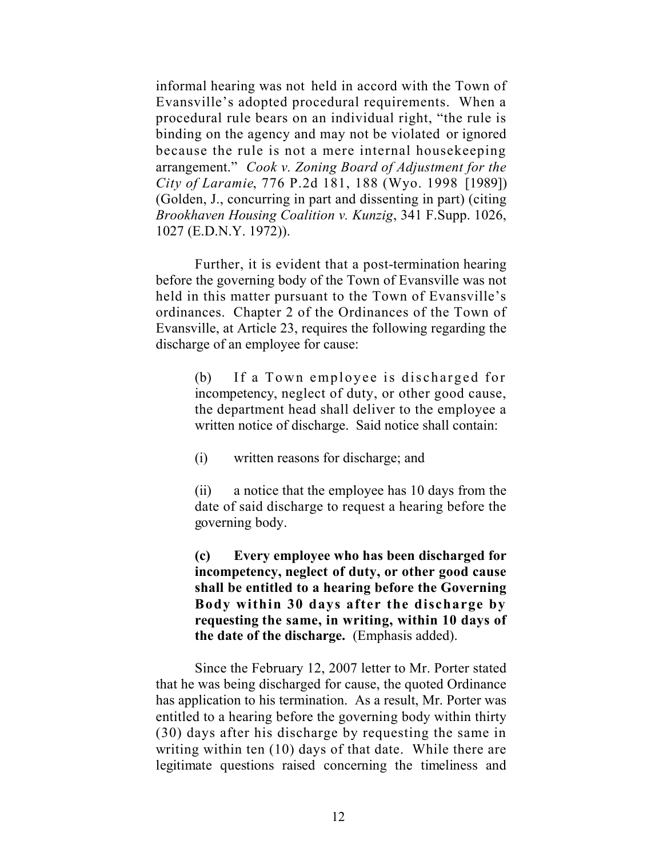informal hearing was not held in accord with the Town of Evansville's adopted procedural requirements. When a procedural rule bears on an individual right, "the rule is binding on the agency and may not be violated or ignored because the rule is not a mere internal housekeeping arrangement." *Cook v. Zoning Board of Adjustment for the City of Laramie*, 776 P.2d 181, 188 (Wyo. 1998 [1989]) (Golden, J., concurring in part and dissenting in part) (citing *Brookhaven Housing Coalition v. Kunzig*, 341 F.Supp. 1026, 1027 (E.D.N.Y. 1972)).

Further, it is evident that a post-termination hearing before the governing body of the Town of Evansville was not held in this matter pursuant to the Town of Evansville's ordinances. Chapter 2 of the Ordinances of the Town of Evansville, at Article 23, requires the following regarding the discharge of an employee for cause:

> (b) If a Town employee is discharged for incompetency, neglect of duty, or other good cause, the department head shall deliver to the employee a written notice of discharge. Said notice shall contain:

(i) written reasons for discharge; and

(ii) a notice that the employee has 10 days from the date of said discharge to request a hearing before the governing body.

**(c) Every employee who has been discharged for incompetency, neglect of duty, or other good cause shall be entitled to a hearing before the Governing Body within 30 days after the discharge by requesting the same, in writing, within 10 days of the date of the discharge.** (Emphasis added).

Since the February 12, 2007 letter to Mr. Porter stated that he was being discharged for cause, the quoted Ordinance has application to his termination. As a result, Mr. Porter was entitled to a hearing before the governing body within thirty (30) days after his discharge by requesting the same in writing within ten (10) days of that date. While there are legitimate questions raised concerning the timeliness and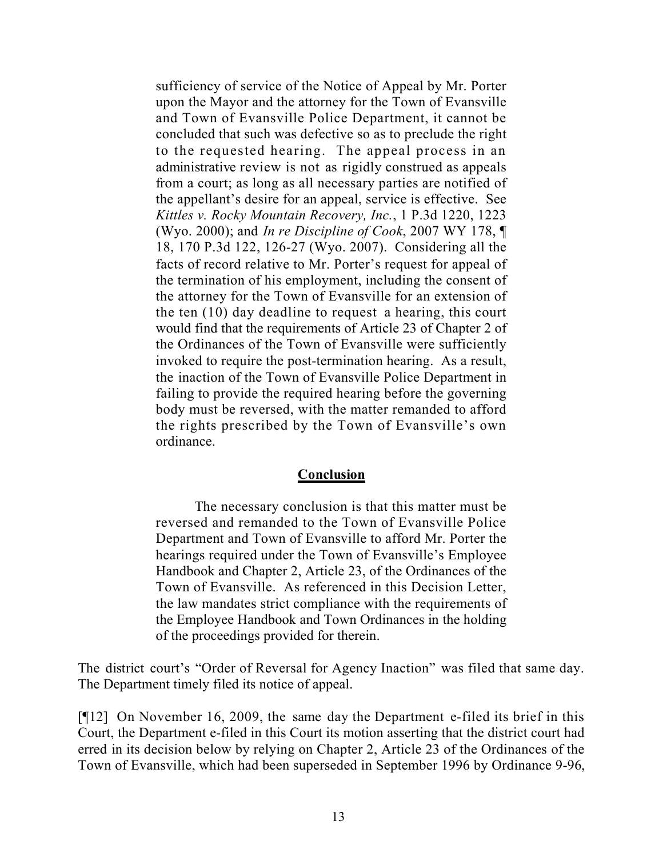sufficiency of service of the Notice of Appeal by Mr. Porter upon the Mayor and the attorney for the Town of Evansville and Town of Evansville Police Department, it cannot be concluded that such was defective so as to preclude the right to the requested hearing. The appeal process in an administrative review is not as rigidly construed as appeals from a court; as long as all necessary parties are notified of the appellant's desire for an appeal, service is effective. See *Kittles v. Rocky Mountain Recovery, Inc.*, 1 P.3d 1220, 1223 (Wyo. 2000); and *In re Discipline of Cook*, 2007 WY 178, ¶ 18, 170 P.3d 122, 126-27 (Wyo. 2007). Considering all the facts of record relative to Mr. Porter's request for appeal of the termination of his employment, including the consent of the attorney for the Town of Evansville for an extension of the ten (10) day deadline to request a hearing, this court would find that the requirements of Article 23 of Chapter 2 of the Ordinances of the Town of Evansville were sufficiently invoked to require the post-termination hearing. As a result, the inaction of the Town of Evansville Police Department in failing to provide the required hearing before the governing body must be reversed, with the matter remanded to afford the rights prescribed by the Town of Evansville's own ordinance.

### **Conclusion**

The necessary conclusion is that this matter must be reversed and remanded to the Town of Evansville Police Department and Town of Evansville to afford Mr. Porter the hearings required under the Town of Evansville's Employee Handbook and Chapter 2, Article 23, of the Ordinances of the Town of Evansville. As referenced in this Decision Letter, the law mandates strict compliance with the requirements of the Employee Handbook and Town Ordinances in the holding of the proceedings provided for therein.

The district court's "Order of Reversal for Agency Inaction" was filed that same day. The Department timely filed its notice of appeal.

[¶12] On November 16, 2009, the same day the Department e-filed its brief in this Court, the Department e-filed in this Court its motion asserting that the district court had erred in its decision below by relying on Chapter 2, Article 23 of the Ordinances of the Town of Evansville, which had been superseded in September 1996 by Ordinance 9-96,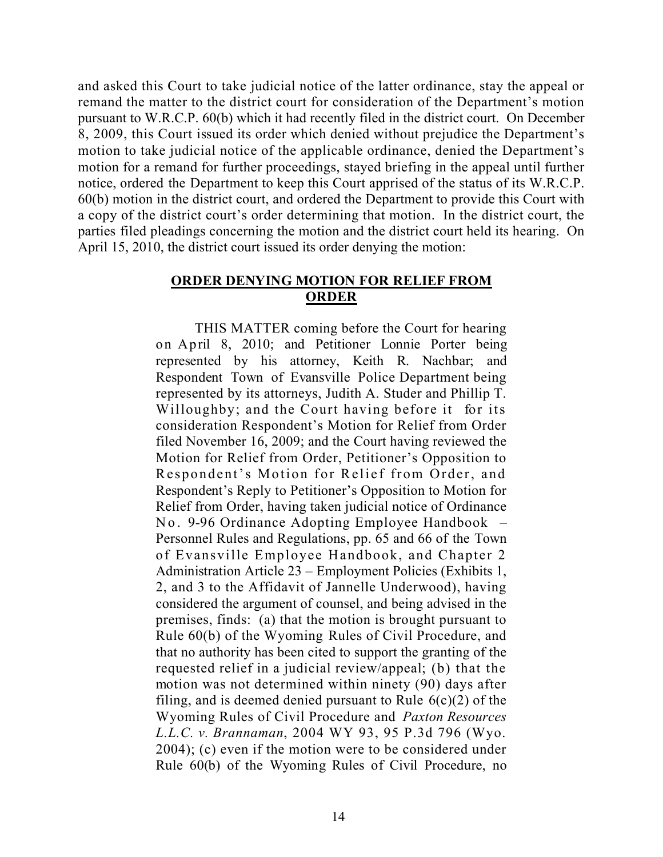and asked this Court to take judicial notice of the latter ordinance, stay the appeal or remand the matter to the district court for consideration of the Department's motion pursuant to W.R.C.P. 60(b) which it had recently filed in the district court. On December 8, 2009, this Court issued its order which denied without prejudice the Department's motion to take judicial notice of the applicable ordinance, denied the Department's motion for a remand for further proceedings, stayed briefing in the appeal until further notice, ordered the Department to keep this Court apprised of the status of its W.R.C.P. 60(b) motion in the district court, and ordered the Department to provide this Court with a copy of the district court's order determining that motion. In the district court, the parties filed pleadings concerning the motion and the district court held its hearing. On April 15, 2010, the district court issued its order denying the motion:

## **ORDER DENYING MOTION FOR RELIEF FROM ORDER**

THIS MATTER coming before the Court for hearing on April 8, 2010; and Petitioner Lonnie Porter being represented by his attorney, Keith R. Nachbar; and Respondent Town of Evansville Police Department being represented by its attorneys, Judith A. Studer and Phillip T. Willoughby; and the Court having before it for its consideration Respondent's Motion for Relief from Order filed November 16, 2009; and the Court having reviewed the Motion for Relief from Order, Petitioner's Opposition to Respondent's Motion for Relief from Order, and Respondent's Reply to Petitioner's Opposition to Motion for Relief from Order, having taken judicial notice of Ordinance No. 9-96 Ordinance Adopting Employee Handbook – Personnel Rules and Regulations, pp. 65 and 66 of the Town of Evansville Employee Handbook, and Chapter 2 Administration Article 23 – Employment Policies (Exhibits 1, 2, and 3 to the Affidavit of Jannelle Underwood), having considered the argument of counsel, and being advised in the premises, finds: (a) that the motion is brought pursuant to Rule 60(b) of the Wyoming Rules of Civil Procedure, and that no authority has been cited to support the granting of the requested relief in a judicial review/appeal; (b) that the motion was not determined within ninety (90) days after filing, and is deemed denied pursuant to Rule  $6(c)(2)$  of the Wyoming Rules of Civil Procedure and *Paxton Resources L.L.C. v. Brannaman*, 2004 WY 93, 95 P.3d 796 (Wyo. 2004); (c) even if the motion were to be considered under Rule 60(b) of the Wyoming Rules of Civil Procedure, no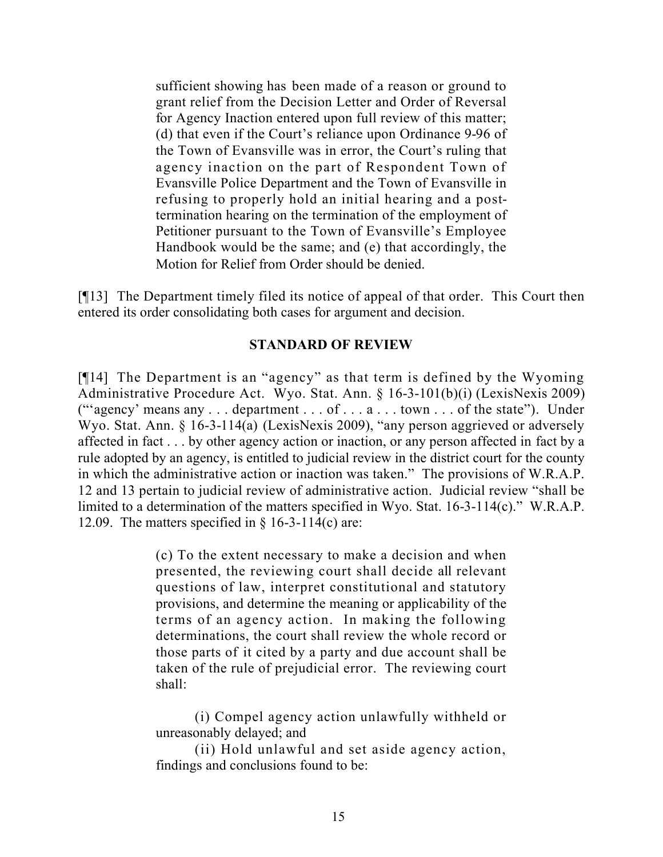sufficient showing has been made of a reason or ground to grant relief from the Decision Letter and Order of Reversal for Agency Inaction entered upon full review of this matter; (d) that even if the Court's reliance upon Ordinance 9-96 of the Town of Evansville was in error, the Court's ruling that agency inaction on the part of Respondent Town of Evansville Police Department and the Town of Evansville in refusing to properly hold an initial hearing and a posttermination hearing on the termination of the employment of Petitioner pursuant to the Town of Evansville's Employee Handbook would be the same; and (e) that accordingly, the Motion for Relief from Order should be denied.

[¶13] The Department timely filed its notice of appeal of that order. This Court then entered its order consolidating both cases for argument and decision.

## **STANDARD OF REVIEW**

[¶14] The Department is an "agency" as that term is defined by the Wyoming Administrative Procedure Act. Wyo. Stat. Ann. § 16-3-101(b)(i) (LexisNexis 2009) ("agency' means any  $\dots$  department  $\dots$  of  $\dots$  a  $\dots$  town  $\dots$  of the state"). Under Wyo. Stat. Ann. § 16-3-114(a) (LexisNexis 2009), "any person aggrieved or adversely affected in fact . . . by other agency action or inaction, or any person affected in fact by a rule adopted by an agency, is entitled to judicial review in the district court for the county in which the administrative action or inaction was taken." The provisions of W.R.A.P. 12 and 13 pertain to judicial review of administrative action. Judicial review "shall be limited to a determination of the matters specified in Wyo. Stat. 16-3-114(c)." W.R.A.P. 12.09. The matters specified in  $\S$  16-3-114(c) are:

> (c) To the extent necessary to make a decision and when presented, the reviewing court shall decide all relevant questions of law, interpret constitutional and statutory provisions, and determine the meaning or applicability of the terms of an agency action. In making the following determinations, the court shall review the whole record or those parts of it cited by a party and due account shall be taken of the rule of prejudicial error. The reviewing court shall:

(i) Compel agency action unlawfully withheld or unreasonably delayed; and

(ii) Hold unlawful and set aside agency action, findings and conclusions found to be: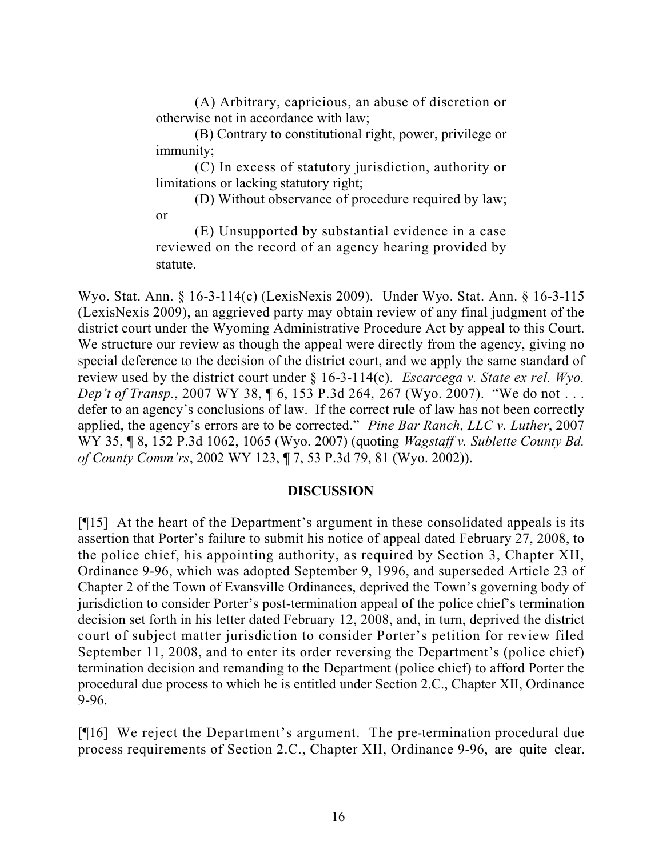(A) Arbitrary, capricious, an abuse of discretion or otherwise not in accordance with law;

(B) Contrary to constitutional right, power, privilege or immunity;

(C) In excess of statutory jurisdiction, authority or limitations or lacking statutory right;

(D) Without observance of procedure required by law; or

(E) Unsupported by substantial evidence in a case reviewed on the record of an agency hearing provided by statute.

Wyo. Stat. Ann. § 16-3-114(c) (LexisNexis 2009). Under Wyo. Stat. Ann. § 16-3-115 (LexisNexis 2009), an aggrieved party may obtain review of any final judgment of the district court under the Wyoming Administrative Procedure Act by appeal to this Court. We structure our review as though the appeal were directly from the agency, giving no special deference to the decision of the district court, and we apply the same standard of review used by the district court under § 16-3-114(c). *Escarcega v. State ex rel. Wyo. Dep't of Transp.*, 2007 WY 38, 16, 153 P.3d 264, 267 (Wyo. 2007). "We do not ... defer to an agency's conclusions of law. If the correct rule of law has not been correctly applied, the agency's errors are to be corrected." *Pine Bar Ranch, LLC v. Luther*, 2007 WY 35, ¶ 8, 152 P.3d 1062, 1065 (Wyo. 2007) (quoting *Wagstaff v. Sublette County Bd. of County Comm'rs*, 2002 WY 123, ¶ 7, 53 P.3d 79, 81 (Wyo. 2002)).

# **DISCUSSION**

[¶15] At the heart of the Department's argument in these consolidated appeals is its assertion that Porter's failure to submit his notice of appeal dated February 27, 2008, to the police chief, his appointing authority, as required by Section 3, Chapter XII, Ordinance 9-96, which was adopted September 9, 1996, and superseded Article 23 of Chapter 2 of the Town of Evansville Ordinances, deprived the Town's governing body of jurisdiction to consider Porter's post-termination appeal of the police chief's termination decision set forth in his letter dated February 12, 2008, and, in turn, deprived the district court of subject matter jurisdiction to consider Porter's petition for review filed September 11, 2008, and to enter its order reversing the Department's (police chief) termination decision and remanding to the Department (police chief) to afford Porter the procedural due process to which he is entitled under Section 2.C., Chapter XII, Ordinance 9-96.

[¶16] We reject the Department's argument. The pre-termination procedural due process requirements of Section 2.C., Chapter XII, Ordinance 9-96, are quite clear.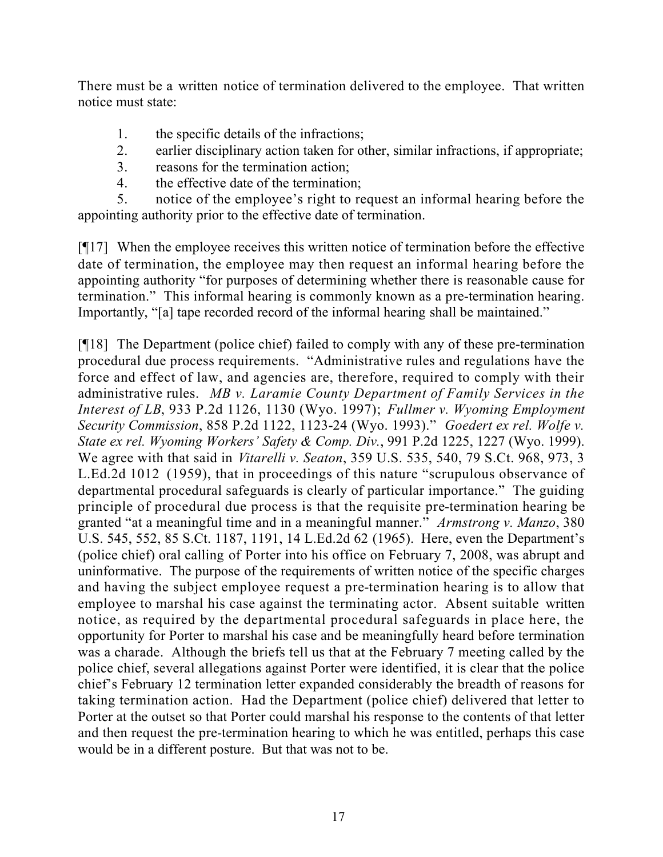There must be a written notice of termination delivered to the employee. That written notice must state:

- 1. the specific details of the infractions;
- 2. earlier disciplinary action taken for other, similar infractions, if appropriate;
- 3. reasons for the termination action;
- 4. the effective date of the termination;

5. notice of the employee's right to request an informal hearing before the appointing authority prior to the effective date of termination.

[¶17] When the employee receives this written notice of termination before the effective date of termination, the employee may then request an informal hearing before the appointing authority "for purposes of determining whether there is reasonable cause for termination." This informal hearing is commonly known as a pre-termination hearing. Importantly, "[a] tape recorded record of the informal hearing shall be maintained."

[¶18] The Department (police chief) failed to comply with any of these pre-termination procedural due process requirements. "Administrative rules and regulations have the force and effect of law, and agencies are, therefore, required to comply with their administrative rules. *MB v. Laramie County Department of Family Services in the Interest of LB*, 933 P.2d 1126, 1130 (Wyo. 1997); *Fullmer v. Wyoming Employment Security Commission*, 858 P.2d 1122, 1123-24 (Wyo. 1993)." *Goedert ex rel. Wolfe v. State ex rel. Wyoming Workers' Safety & Comp. Div.*, 991 P.2d 1225, 1227 (Wyo. 1999). We agree with that said in *Vitarelli v. Seaton*, 359 U.S. 535, 540, 79 S.Ct. 968, 973, 3 L.Ed.2d 1012 (1959), that in proceedings of this nature "scrupulous observance of departmental procedural safeguards is clearly of particular importance." The guiding principle of procedural due process is that the requisite pre-termination hearing be granted "at a meaningful time and in a meaningful manner." *Armstrong v. Manzo*, 380 U.S. 545, 552, 85 S.Ct. 1187, 1191, 14 L.Ed.2d 62 (1965). Here, even the Department's (police chief) oral calling of Porter into his office on February 7, 2008, was abrupt and uninformative. The purpose of the requirements of written notice of the specific charges and having the subject employee request a pre-termination hearing is to allow that employee to marshal his case against the terminating actor. Absent suitable written notice, as required by the departmental procedural safeguards in place here, the opportunity for Porter to marshal his case and be meaningfully heard before termination was a charade. Although the briefs tell us that at the February 7 meeting called by the police chief, several allegations against Porter were identified, it is clear that the police chief's February 12 termination letter expanded considerably the breadth of reasons for taking termination action. Had the Department (police chief) delivered that letter to Porter at the outset so that Porter could marshal his response to the contents of that letter and then request the pre-termination hearing to which he was entitled, perhaps this case would be in a different posture. But that was not to be.